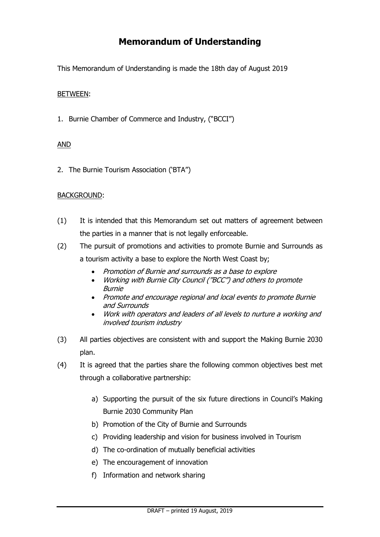# **Memorandum of Understanding**

This Memorandum of Understanding is made the 18th day of August 2019

# BETWEEN:

1. Burnie Chamber of Commerce and Industry, ("BCCI")

# AND

2. The Burnie Tourism Association ('BTA")

# BACKGROUND:

- (1) It is intended that this Memorandum set out matters of agreement between the parties in a manner that is not legally enforceable.
- (2) The pursuit of promotions and activities to promote Burnie and Surrounds as a tourism activity a base to explore the North West Coast by;
	- Promotion of Burnie and surrounds as a base to explore
	- Working with Burnie City Council ("BCC") and others to promote Burnie
	- Promote and encourage regional and local events to promote Burnie and Surrounds
	- Work with operators and leaders of all levels to nurture a working and involved tourism industry
- (3) All parties objectives are consistent with and support the Making Burnie 2030 plan.
- (4) It is agreed that the parties share the following common objectives best met through a collaborative partnership:
	- a) Supporting the pursuit of the six future directions in Council's Making Burnie 2030 Community Plan
	- b) Promotion of the City of Burnie and Surrounds
	- c) Providing leadership and vision for business involved in Tourism
	- d) The co-ordination of mutually beneficial activities
	- e) The encouragement of innovation
	- f) Information and network sharing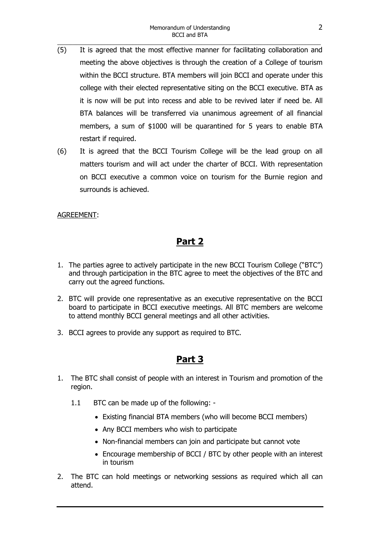- (5) It is agreed that the most effective manner for facilitating collaboration and meeting the above objectives is through the creation of a College of tourism within the BCCI structure. BTA members will join BCCI and operate under this college with their elected representative siting on the BCCI executive. BTA as it is now will be put into recess and able to be revived later if need be. All BTA balances will be transferred via unanimous agreement of all financial members, a sum of \$1000 will be quarantined for 5 years to enable BTA restart if required.
- (6) It is agreed that the BCCI Tourism College will be the lead group on all matters tourism and will act under the charter of BCCI. With representation on BCCI executive a common voice on tourism for the Burnie region and surrounds is achieved.

# AGREEMENT:

# **Part 2**

- 1. The parties agree to actively participate in the new BCCI Tourism College ("BTC") and through participation in the BTC agree to meet the objectives of the BTC and carry out the agreed functions.
- 2. BTC will provide one representative as an executive representative on the BCCI board to participate in BCCI executive meetings. All BTC members are welcome to attend monthly BCCI general meetings and all other activities.
- 3. BCCI agrees to provide any support as required to BTC.

# **Part 3**

- 1. The BTC shall consist of people with an interest in Tourism and promotion of the region.
	- 1.1 BTC can be made up of the following:
		- Existing financial BTA members (who will become BCCI members)
		- Any BCCI members who wish to participate
		- Non-financial members can join and participate but cannot vote
		- Encourage membership of BCCI / BTC by other people with an interest in tourism
- 2. The BTC can hold meetings or networking sessions as required which all can attend.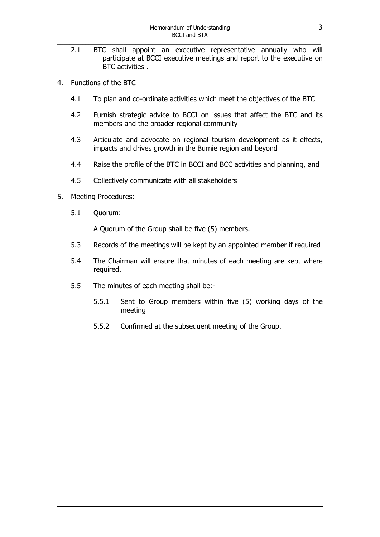- 2.1 BTC shall appoint an executive representative annually who will participate at BCCI executive meetings and report to the executive on BTC activities .
- 4. Functions of the BTC
	- 4.1 To plan and co-ordinate activities which meet the objectives of the BTC
	- 4.2 Furnish strategic advice to BCCI on issues that affect the BTC and its members and the broader regional community
	- 4.3 Articulate and advocate on regional tourism development as it effects, impacts and drives growth in the Burnie region and beyond
	- 4.4 Raise the profile of the BTC in BCCI and BCC activities and planning, and
	- 4.5 Collectively communicate with all stakeholders
- 5. Meeting Procedures:
	- 5.1 Quorum:

A Quorum of the Group shall be five (5) members.

- 5.3 Records of the meetings will be kept by an appointed member if required
- 5.4 The Chairman will ensure that minutes of each meeting are kept where required.
- 5.5 The minutes of each meeting shall be:-
	- 5.5.1 Sent to Group members within five (5) working days of the meeting
	- 5.5.2 Confirmed at the subsequent meeting of the Group.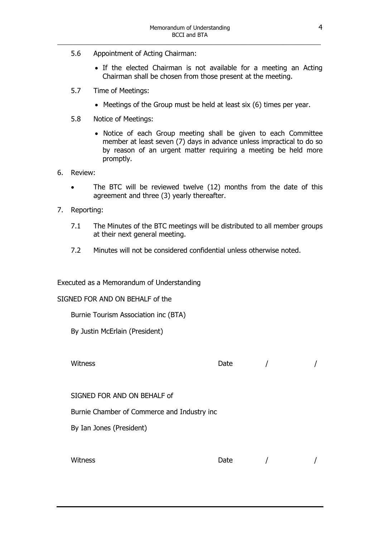- 5.6 Appointment of Acting Chairman:
	- If the elected Chairman is not available for a meeting an Acting Chairman shall be chosen from those present at the meeting.
- 5.7 Time of Meetings:
	- Meetings of the Group must be held at least six (6) times per year.
- 5.8 Notice of Meetings:
	- Notice of each Group meeting shall be given to each Committee member at least seven (7) days in advance unless impractical to do so by reason of an urgent matter requiring a meeting be held more promptly.
- 6. Review:
	- The BTC will be reviewed twelve (12) months from the date of this agreement and three (3) yearly thereafter.
- 7. Reporting:
	- 7.1 The Minutes of the BTC meetings will be distributed to all member groups at their next general meeting.
	- 7.2 Minutes will not be considered confidential unless otherwise noted.

Executed as a Memorandum of Understanding

SIGNED FOR AND ON BEHALF of the

Burnie Tourism Association inc (BTA)

By Justin McErlain (President)

Witness and the contract of the Date and the Mitness  $\sim$  /

SIGNED FOR AND ON BEHALF of

Burnie Chamber of Commerce and Industry inc

By Ian Jones (President)

Witness and the contract of the Date and the Mitness  $\sim$  /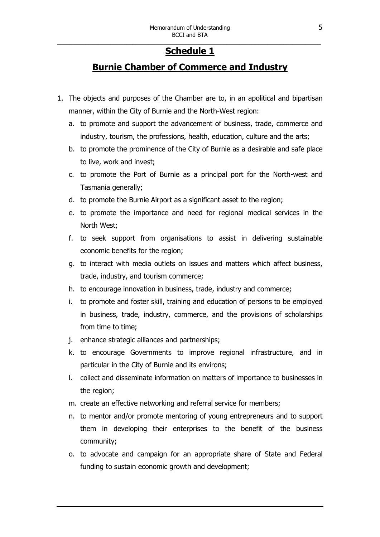#### \_\_\_\_\_\_\_\_\_\_\_\_\_\_\_\_\_\_\_\_\_\_\_\_\_\_\_\_\_\_\_\_\_\_\_\_\_\_\_\_\_\_\_\_\_\_\_\_\_\_\_\_\_\_\_\_\_\_\_\_\_\_\_\_\_\_\_\_\_\_\_\_\_\_\_\_\_\_\_\_\_\_\_\_ **Schedule 1**

# **Burnie Chamber of Commerce and Industry**

- 1. The objects and purposes of the Chamber are to, in an apolitical and bipartisan manner, within the City of Burnie and the North-West region:
	- a. to promote and support the advancement of business, trade, commerce and industry, tourism, the professions, health, education, culture and the arts;
	- b. to promote the prominence of the City of Burnie as a desirable and safe place to live, work and invest;
	- c. to promote the Port of Burnie as a principal port for the North-west and Tasmania generally;
	- d. to promote the Burnie Airport as a significant asset to the region;
	- e. to promote the importance and need for regional medical services in the North West;
	- f. to seek support from organisations to assist in delivering sustainable economic benefits for the region;
	- g. to interact with media outlets on issues and matters which affect business, trade, industry, and tourism commerce;
	- h. to encourage innovation in business, trade, industry and commerce;
	- i. to promote and foster skill, training and education of persons to be employed in business, trade, industry, commerce, and the provisions of scholarships from time to time;
	- j. enhance strategic alliances and partnerships;
	- k. to encourage Governments to improve regional infrastructure, and in particular in the City of Burnie and its environs;
	- l. collect and disseminate information on matters of importance to businesses in the region;
	- m. create an effective networking and referral service for members;
	- n. to mentor and/or promote mentoring of young entrepreneurs and to support them in developing their enterprises to the benefit of the business community;
	- o. to advocate and campaign for an appropriate share of State and Federal funding to sustain economic growth and development;